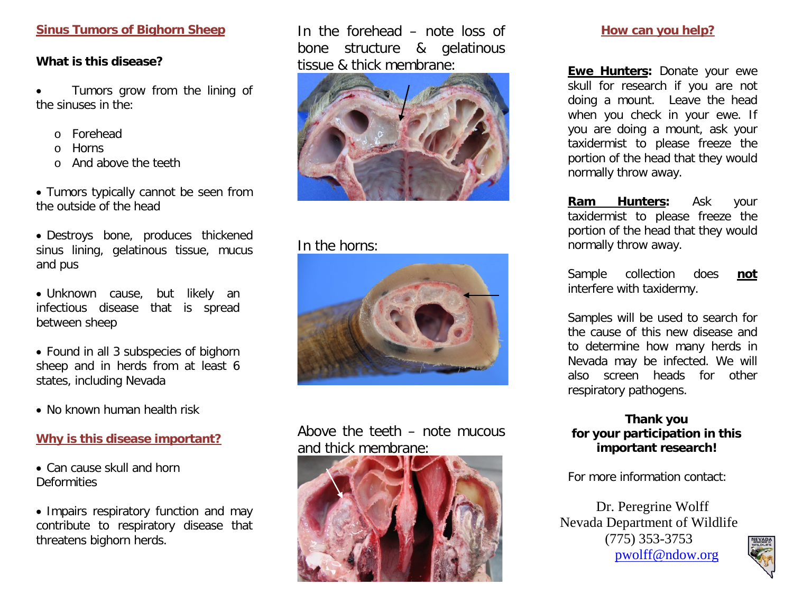#### **Sinus Tumors of Bighorn Sheep**

#### **What is this disease?**

Tumors grow from the lining of the sinuses in the:

- o Forehead
- o Horns
- o And above the teeth

• Tumors typically cannot be seen from the outside of the head

• Destroys bone, produces thickened sinus lining, gelatinous tissue, mucus and pus

• Unknown cause, but likely an infectious disease that is spread between sheep

• Found in all 3 subspecies of bighorn sheep and in herds from at least 6 states, including Nevada

• No known human health risk

#### **Why is this disease important?**

• Can cause skull and horn **Deformities** 

• Impairs respiratory function and may contribute to respiratory disease that threatens bighorn herds.

In the forehead – note loss of bone structure & gelatinous tissue & thick membrane:



## In the horns:



## Above the teeth – note mucous and thick membrane:



#### **How can you help?**

**Ewe Hunters:** Donate your ewe skull for research if you are not doing a mount. Leave the head when you check in your ewe. If you are doing a mount, ask your taxidermist to please freeze the portion of the head that they would normally throw away.

**Ram Hunters:** Ask your taxidermist to please freeze the portion of the head that they would normally throw away.

Sample collection does **not**  interfere with taxidermy.

Samples will be used to search for the cause of this new disease and to determine how many herds in Nevada may be infected. We will also screen heads for other respiratory pathogens.

### **Thank you for your participation in this important research!**

For more information contact:

Dr. Peregrine Wolff Nevada Department of Wildlife (775) 353-3753 [pwolff@ndow.org](mailto:pwolff@ndow.org)